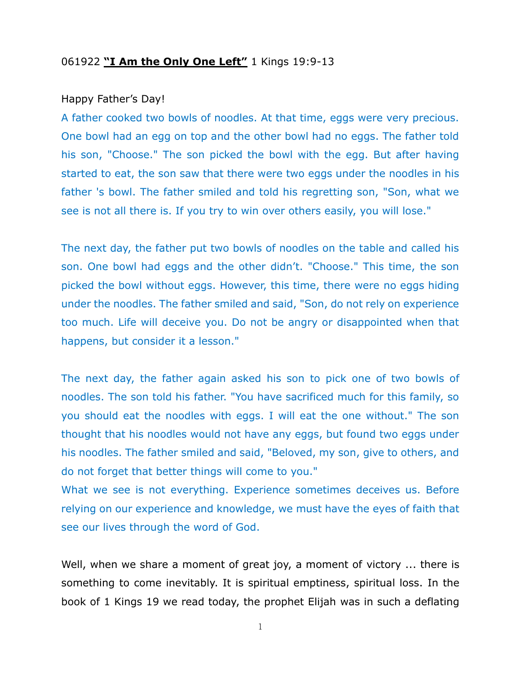## 061922 **"I Am the Only One Left"** 1 Kings 19:9-13

## Happy Father's Day!

A father cooked two bowls of noodles. At that time, eggs were very precious. One bowl had an egg on top and the other bowl had no eggs. The father told his son, "Choose." The son picked the bowl with the egg. But after having started to eat, the son saw that there were two eggs under the noodles in his father 's bowl. The father smiled and told his regretting son, "Son, what we see is not all there is. If you try to win over others easily, you will lose."

The next day, the father put two bowls of noodles on the table and called his son. One bowl had eggs and the other didn't. "Choose." This time, the son picked the bowl without eggs. However, this time, there were no eggs hiding under the noodles. The father smiled and said, "Son, do not rely on experience too much. Life will deceive you. Do not be angry or disappointed when that happens, but consider it a lesson."

The next day, the father again asked his son to pick one of two bowls of noodles. The son told his father. "You have sacrificed much for this family, so you should eat the noodles with eggs. I will eat the one without." The son thought that his noodles would not have any eggs, but found two eggs under his noodles. The father smiled and said, "Beloved, my son, give to others, and do not forget that better things will come to you."

What we see is not everything. Experience sometimes deceives us. Before relying on our experience and knowledge, we must have the eyes of faith that see our lives through the word of God.

Well, when we share a moment of great joy, a moment of victory ... there is something to come inevitably. It is spiritual emptiness, spiritual loss. In the book of 1 Kings 19 we read today, the prophet Elijah was in such a deflating

1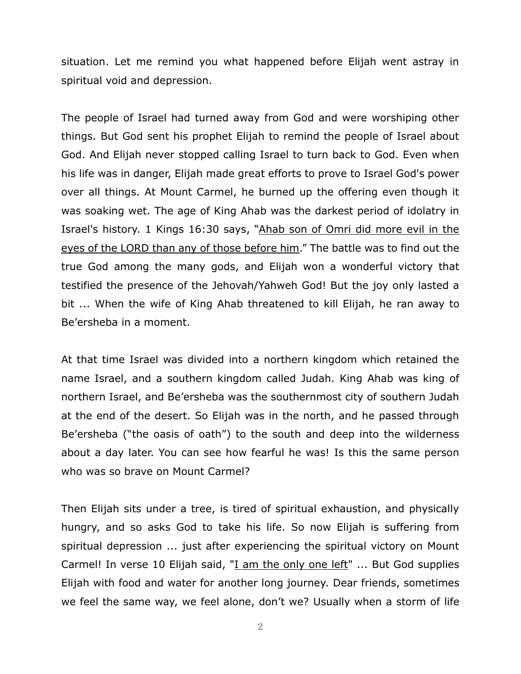situation. Let me remind you what happened before Elijah went astray in spiritual void and depression.

The people of Israel had turned away from God and were worshiping other things. But God sent his prophet Elijah to remind the people of Israel about God. And Elijah never stopped calling Israel to turn back to God. Even when his life was in danger, Elijah made great efforts to prove to Israel God's power over all things. At Mount Carmel, he burned up the offering even though it was soaking wet. The age of King Ahab was the darkest period of idolatry in Israel's history. 1 Kings 16:30 says, "Ahab son of Omri did more evil in the eyes of the LORD than any of those before him." The battle was to find out the true God among the many gods, and Elijah won a wonderful victory that testified the presence of the Jehovah/Yahweh God! But the joy only lasted a bit ... When the wife of King Ahab threatened to kill Elijah, he ran away to Be'ersheba in a moment.

At that time Israel was divided into a northern kingdom which retained the name Israel, and a southern kingdom called Judah. King Ahab was king of northern Israel, and Be'ersheba was the southernmost city of southern Judah at the end of the desert. So Elijah was in the north, and he passed through Be'ersheba ("the oasis of oath") to the south and deep into the wilderness about a day later. You can see how fearful he was! Is this the same person who was so brave on Mount Carmel?

Then Elijah sits under a tree, is tired of spiritual exhaustion, and physically hungry, and so asks God to take his life. So now Elijah is suffering from spiritual depression ... just after experiencing the spiritual victory on Mount Carmel! In verse 10 Elijah said, "I am the only one left" ... But God supplies Elijah with food and water for another long journey. Dear friends, sometimes we feel the same way, we feel alone, don't we? Usually when a storm of life

2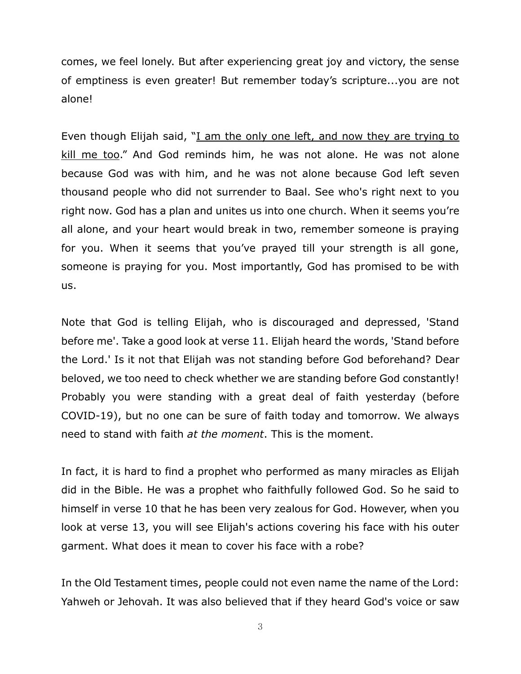comes, we feel lonely. But after experiencing great joy and victory, the sense of emptiness is even greater! But remember today's scripture...you are not alone!

Even though Elijah said, "I am the only one left, and now they are trying to kill me too." And God reminds him, he was not alone. He was not alone because God was with him, and he was not alone because God left seven thousand people who did not surrender to Baal. See who's right next to you right now. God has a plan and unites us into one church. When it seems you're all alone, and your heart would break in two, remember someone is praying for you. When it seems that you've prayed till your strength is all gone, someone is praying for you. Most importantly, God has promised to be with us.

Note that God is telling Elijah, who is discouraged and depressed, 'Stand before me'. Take a good look at verse 11. Elijah heard the words, 'Stand before the Lord.' Is it not that Elijah was not standing before God beforehand? Dear beloved, we too need to check whether we are standing before God constantly! Probably you were standing with a great deal of faith yesterday (before COVID-19), but no one can be sure of faith today and tomorrow. We always need to stand with faith *at the moment*. This is the moment.

In fact, it is hard to find a prophet who performed as many miracles as Elijah did in the Bible. He was a prophet who faithfully followed God. So he said to himself in verse 10 that he has been very zealous for God. However, when you look at verse 13, you will see Elijah's actions covering his face with his outer garment. What does it mean to cover his face with a robe?

In the Old Testament times, people could not even name the name of the Lord: Yahweh or Jehovah. It was also believed that if they heard God's voice or saw